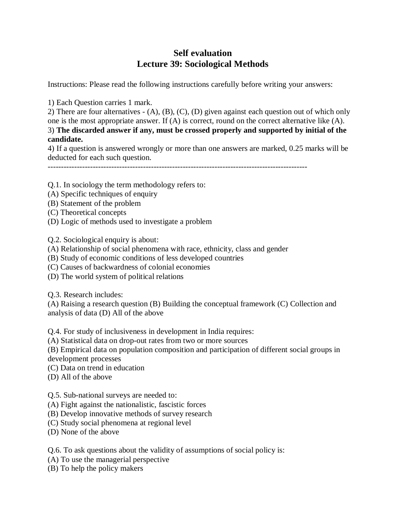## **Self evaluation Lecture 39: Sociological Methods**

Instructions: Please read the following instructions carefully before writing your answers:

1) Each Question carries 1 mark.

2) There are four alternatives - (A), (B), (C), (D) given against each question out of which only one is the most appropriate answer. If (A) is correct, round on the correct alternative like (A). 3) **The discarded answer if any, must be crossed properly and supported by initial of the candidate.**

4) If a question is answered wrongly or more than one answers are marked, 0.25 marks will be deducted for each such question.

--------------------------------------------------------------------------------------------------

Q.1. In sociology the term methodology refers to:

- (A) Specific techniques of enquiry
- (B) Statement of the problem
- (C) Theoretical concepts
- (D) Logic of methods used to investigate a problem

Q.2. Sociological enquiry is about:

- (A) Relationship of social phenomena with race, ethnicity, class and gender
- (B) Study of economic conditions of less developed countries
- (C) Causes of backwardness of colonial economies
- (D) The world system of political relations

Q.3. Research includes:

(A) Raising a research question (B) Building the conceptual framework (C) Collection and analysis of data (D) All of the above

Q.4. For study of inclusiveness in development in India requires:

(A) Statistical data on drop-out rates from two or more sources

(B) Empirical data on population composition and participation of different social groups in

development processes

- (C) Data on trend in education
- (D) All of the above

Q.5. Sub-national surveys are needed to:

- (A) Fight against the nationalistic, fascistic forces
- (B) Develop innovative methods of survey research
- (C) Study social phenomena at regional level
- (D) None of the above

Q.6. To ask questions about the validity of assumptions of social policy is:

- (A) To use the managerial perspective
- (B) To help the policy makers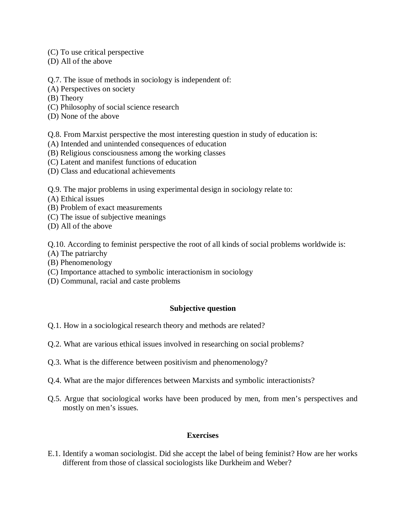- (C) To use critical perspective
- (D) All of the above

Q.7. The issue of methods in sociology is independent of:

- (A) Perspectives on society
- (B) Theory
- (C) Philosophy of social science research
- (D) None of the above
- Q.8. From Marxist perspective the most interesting question in study of education is:
- (A) Intended and unintended consequences of education
- (B) Religious consciousness among the working classes
- (C) Latent and manifest functions of education
- (D) Class and educational achievements

Q.9. The major problems in using experimental design in sociology relate to:

- (A) Ethical issues
- (B) Problem of exact measurements
- (C) The issue of subjective meanings
- (D) All of the above

Q.10. According to feminist perspective the root of all kinds of social problems worldwide is:

- (A) The patriarchy
- (B) Phenomenology
- (C) Importance attached to symbolic interactionism in sociology
- (D) Communal, racial and caste problems

## **Subjective question**

- Q.1. How in a sociological research theory and methods are related?
- Q.2. What are various ethical issues involved in researching on social problems?
- Q.3. What is the difference between positivism and phenomenology?
- Q.4. What are the major differences between Marxists and symbolic interactionists?
- Q.5. Argue that sociological works have been produced by men, from men's perspectives and mostly on men's issues.

## **Exercises**

E.1. Identify a woman sociologist. Did she accept the label of being feminist? How are her works different from those of classical sociologists like Durkheim and Weber?